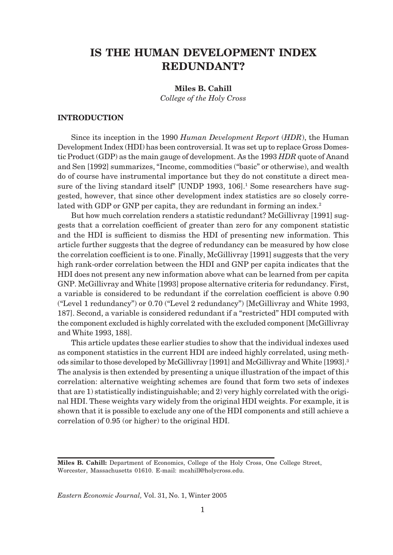# **IS THE HUMAN DEVELOPMENT INDEX REDUNDANT?**

# **Miles B. Cahill**

*College of the Holy Cross*

# **INTRODUCTION**

Since its inception in the 1990 *Human Development Report* (*HDR*), the Human Development Index (HDI) has been controversial. It was set up to replace Gross Domestic Product (GDP) as the main gauge of development. As the 1993 *HDR* quote of Anand and Sen [1992] summarizes, "Income, commodities ("basic" or otherwise), and wealth do of course have instrumental importance but they do not constitute a direct measure of the living standard itself" [UNDP 1993, 106].<sup>1</sup> Some researchers have suggested, however, that since other development index statistics are so closely correlated with GDP or GNP per capita, they are redundant in forming an index.<sup>2</sup>

But how much correlation renders a statistic redundant? McGillivray [1991] suggests that a correlation coefficient of greater than zero for any component statistic and the HDI is sufficient to dismiss the HDI of presenting new information. This article further suggests that the degree of redundancy can be measured by how close the correlation coefficient is to one. Finally, McGillivray [1991] suggests that the very high rank-order correlation between the HDI and GNP per capita indicates that the HDI does not present any new information above what can be learned from per capita GNP. McGillivray and White [1993] propose alternative criteria for redundancy. First, a variable is considered to be redundant if the correlation coefficient is above 0.90 ("Level 1 redundancy") or 0.70 ("Level 2 redundancy") [McGillivray and White 1993, 187]. Second, a variable is considered redundant if a "restricted" HDI computed with the component excluded is highly correlated with the excluded component [McGillivray and White 1993, 188].

This article updates these earlier studies to show that the individual indexes used as component statistics in the current HDI are indeed highly correlated, using methods similar to those developed by McGillivray [1991] and McGillivray and White [1993].3 The analysis is then extended by presenting a unique illustration of the impact of this correlation: alternative weighting schemes are found that form two sets of indexes that are 1) statistically indistinguishable; and 2) very highly correlated with the original HDI. These weights vary widely from the original HDI weights. For example, it is shown that it is possible to exclude any one of the HDI components and still achieve a correlation of 0.95 (or higher) to the original HDI.

**Miles B. Cahill:** Department of Economics, College of the Holy Cross, One College Street, Worcester, Massachusetts 01610. E-mail: mcahill@holycross.edu.

*Eastern Economic Journal,* Vol. 31, No. 1, Winter 2005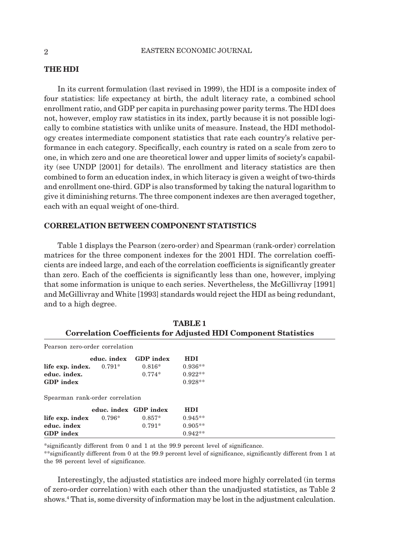## **THE HDI**

In its current formulation (last revised in 1999), the HDI is a composite index of four statistics: life expectancy at birth, the adult literacy rate, a combined school enrollment ratio, and GDP per capita in purchasing power parity terms. The HDI does not, however, employ raw statistics in its index, partly because it is not possible logically to combine statistics with unlike units of measure. Instead, the HDI methodology creates intermediate component statistics that rate each country's relative performance in each category. Specifically, each country is rated on a scale from zero to one, in which zero and one are theoretical lower and upper limits of society's capability (see UNDP [2001] for details). The enrollment and literacy statistics are then combined to form an education index, in which literacy is given a weight of two-thirds and enrollment one-third. GDP is also transformed by taking the natural logarithm to give it diminishing returns. The three component indexes are then averaged together, each with an equal weight of one-third.

#### **CORRELATION BETWEEN COMPONENT STATISTICS**

Table 1 displays the Pearson (zero-order) and Spearman (rank-order) correlation matrices for the three component indexes for the 2001 HDI. The correlation coefficients are indeed large, and each of the correlation coefficients is significantly greater than zero. Each of the coefficients is significantly less than one, however, implying that some information is unique to each series. Nevertheless, the McGillivray [1991] and McGillivray and White [1993] standards would reject the HDI as being redundant, and to a high degree.

|                                                                       |                       |           | TABLE 1    |  |  |  |
|-----------------------------------------------------------------------|-----------------------|-----------|------------|--|--|--|
| <b>Correlation Coefficients for Adjusted HDI Component Statistics</b> |                       |           |            |  |  |  |
| Pearson zero-order correlation                                        |                       |           |            |  |  |  |
|                                                                       | educ. index           | GDP index | <b>HDI</b> |  |  |  |
| life exp. index.                                                      | $0.791^*$             | $0.816*$  | $0.936**$  |  |  |  |
| educ. index.                                                          |                       | $0.774*$  | $0.922**$  |  |  |  |
| <b>GDP</b> index                                                      |                       |           | $0.928**$  |  |  |  |
| Spearman rank-order correlation                                       |                       |           |            |  |  |  |
|                                                                       | educ. index GDP index |           | <b>HDI</b> |  |  |  |
| life exp. index                                                       | $0.796*$              | $0.857*$  | $0.945**$  |  |  |  |
| educ. index                                                           |                       | $0.791*$  | $0.905**$  |  |  |  |
| <b>GDP</b> index                                                      |                       |           | $0.942**$  |  |  |  |

| TABLE <sub>1</sub>                                                    |
|-----------------------------------------------------------------------|
| <b>Correlation Coefficients for Adjusted HDI Component Statistics</b> |

\*significantly different from 0 and 1 at the 99.9 percent level of significance.

\*\*significantly different from 0 at the 99.9 percent level of significance, significantly different from 1 at the 98 percent level of significance.

Interestingly, the adjusted statistics are indeed more highly correlated (in terms of zero-order correlation) with each other than the unadjusted statistics, as Table 2 shows.4 That is, some diversity of information may be lost in the adjustment calculation.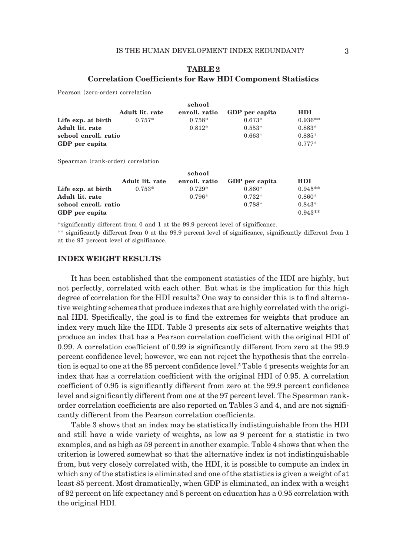|                                   |                 | school        |                |            |
|-----------------------------------|-----------------|---------------|----------------|------------|
|                                   | Adult lit. rate | enroll. ratio | GDP per capita | <b>HDI</b> |
| Life exp. at birth                | $0.757*$        | $0.758*$      | $0.673*$       | $0.936**$  |
| Adult lit. rate                   |                 | $0.812*$      | $0.553*$       | $0.883*$   |
| school enroll, ratio              |                 |               | $0.663*$       | $0.885*$   |
| GDP per capita                    |                 |               |                | $0.777*$   |
| Spearman (rank-order) correlation |                 |               |                |            |
|                                   |                 | school        |                |            |
|                                   | Adult lit. rate | enroll. ratio | GDP per capita | <b>HDI</b> |
| Life exp. at birth                | $0.753*$        | $0.729*$      | $0.860*$       | $0.945**$  |
| Adult lit. rate                   |                 | $0.796*$      | $0.732*$       | $0.860*$   |
| school enroll, ratio              |                 |               | 0.788*         | $0.843*$   |

# **TABLE 2 Correlation Coefficients for Raw HDI Component Statistics**

\*significantly different from 0 and 1 at the 99.9 percent level of significance.

\*\* significantly different from 0 at the 99.9 percent level of significance, significantly different from 1 at the 97 percent level of significance.

## **INDEX WEIGHT RESULTS**

Pearson (zero-order) correlation

It has been established that the component statistics of the HDI are highly, but not perfectly, correlated with each other. But what is the implication for this high degree of correlation for the HDI results? One way to consider this is to find alternative weighting schemes that produce indexes that are highly correlated with the original HDI. Specifically, the goal is to find the extremes for weights that produce an index very much like the HDI. Table 3 presents six sets of alternative weights that produce an index that has a Pearson correlation coefficient with the original HDI of 0.99. A correlation coefficient of 0.99 is significantly different from zero at the 99.9 percent confidence level; however, we can not reject the hypothesis that the correlation is equal to one at the 85 percent confidence level.<sup>5</sup> Table 4 presents weights for an index that has a correlation coefficient with the original HDI of 0.95. A correlation coefficient of 0.95 is significantly different from zero at the 99.9 percent confidence level and significantly different from one at the 97 percent level. The Spearman rankorder correlation coefficients are also reported on Tables 3 and 4, and are not significantly different from the Pearson correlation coefficients.

Table 3 shows that an index may be statistically indistinguishable from the HDI and still have a wide variety of weights, as low as 9 percent for a statistic in two examples, and as high as 59 percent in another example. Table 4 shows that when the criterion is lowered somewhat so that the alternative index is not indistinguishable from, but very closely correlated with, the HDI, it is possible to compute an index in which any of the statistics is eliminated and one of the statistics is given a weight of at least 85 percent. Most dramatically, when GDP is eliminated, an index with a weight of 92 percent on life expectancy and 8 percent on education has a 0.95 correlation with the original HDI.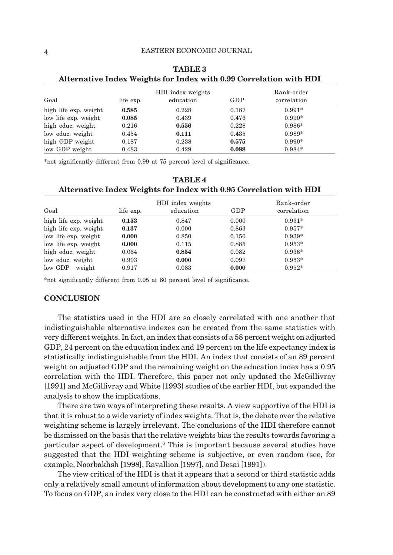| Goal                  | life exp. | HDI index weights<br>education | GDP   | Rank-order<br>correlation |
|-----------------------|-----------|--------------------------------|-------|---------------------------|
| high life exp. weight | 0.585     | 0.228                          | 0.187 | $0.991*$                  |
| low life exp. weight  | 0.085     | 0.439                          | 0.476 | $0.990*$                  |
| high educ. weight     | 0.216     | 0.556                          | 0.228 | $0.986*$                  |
| low educ. weight      | 0.454     | 0.111                          | 0.435 | 0.989*                    |
| high GDP weight       | 0.187     | 0.238                          | 0.575 | $0.990*$                  |
| low GDP weight        | 0.483     | 0.429                          | 0.088 | $0.984*$                  |

**TABLE 3 Alternative Index Weights for Index with 0.99 Correlation with HDI**

\*not significantly different from 0.99 at 75 percent level of significance.

|                       | Ð                                                  |       |       |                           |
|-----------------------|----------------------------------------------------|-------|-------|---------------------------|
| Goal                  | HDI index weights<br>education<br>GDP<br>life exp. |       |       | Rank-order<br>correlation |
| high life exp. weight | 0.153                                              | 0.847 | 0.000 | $0.931*$                  |
| high life exp. weight | 0.137                                              | 0.000 | 0.863 | $0.957*$                  |
| low life exp. weight  | 0.000                                              | 0.850 | 0.150 | $0.939*$                  |
| low life exp. weight  | 0.000                                              | 0.115 | 0.885 | $0.953*$                  |
| high educ. weight     | 0.064                                              | 0.854 | 0.082 | $0.936*$                  |
| low educ. weight      | 0.903                                              | 0.000 | 0.097 | $0.953*$                  |
| low GDP<br>weight     | 0.917                                              | 0.083 | 0.000 | $0.952*$                  |

## **TABLE 4 Alternative Index Weights for Index with 0.95 Correlation with HDI**

\*not significantly different from 0.95 at 80 percent level of significance.

#### **CONCLUSION**

The statistics used in the HDI are so closely correlated with one another that indistinguishable alternative indexes can be created from the same statistics with very different weights. In fact, an index that consists of a 58 percent weight on adjusted GDP, 24 percent on the education index and 19 percent on the life expectancy index is statistically indistinguishable from the HDI. An index that consists of an 89 percent weight on adjusted GDP and the remaining weight on the education index has a 0.95 correlation with the HDI. Therefore, this paper not only updated the McGillivray [1991] and McGillivray and White [1993] studies of the earlier HDI, but expanded the analysis to show the implications.

There are two ways of interpreting these results. A view supportive of the HDI is that it is robust to a wide variety of index weights. That is, the debate over the relative weighting scheme is largely irrelevant. The conclusions of the HDI therefore cannot be dismissed on the basis that the relative weights bias the results towards favoring a particular aspect of development.6 This is important because several studies have suggested that the HDI weighting scheme is subjective, or even random (see, for example, Noorbakhsh [1998], Ravallion [1997], and Desai [1991]).

The view critical of the HDI is that it appears that a second or third statistic adds only a relatively small amount of information about development to any one statistic. To focus on GDP, an index very close to the HDI can be constructed with either an 89